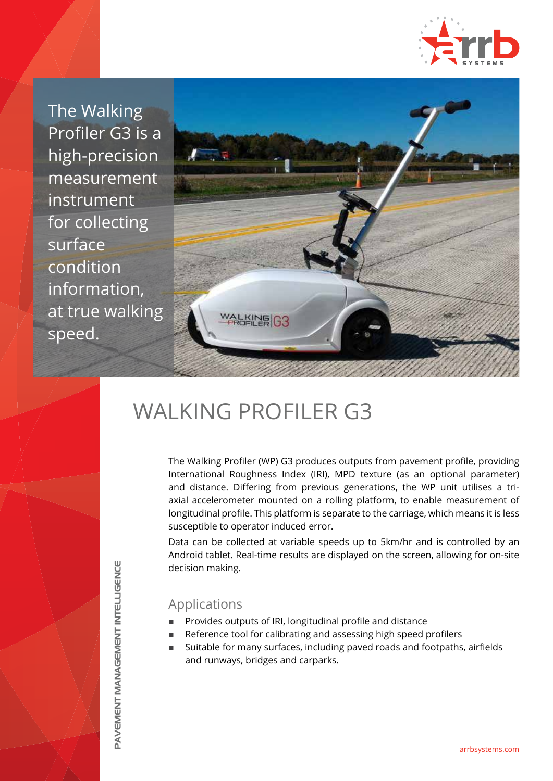

The Walking Profiler G3 is a high-precision measurement instrument for collecting surface condition information, at true walking speed.



# WALKING PROFILER G3

The Walking Profiler (WP) G3 produces outputs from pavement profile, providing International Roughness Index (IRI), MPD texture (as an optional parameter) and distance. Differing from previous generations, the WP unit utilises a triaxial accelerometer mounted on a rolling platform, to enable measurement of longitudinal profile. This platform is separate to the carriage, which means it is less susceptible to operator induced error.

Data can be collected at variable speeds up to 5km/hr and is controlled by an Android tablet. Real-time results are displayed on the screen, allowing for on-site decision making.

### Applications

- Provides outputs of IRI, longitudinal profile and distance
- Reference tool for calibrating and assessing high speed profilers
- Suitable for many surfaces, including paved roads and footpaths, airfields and runways, bridges and carparks.

**PAVEMENT MANAGEMENT INTELLIGENCE** PAVEMENT MANAGEMENT INTELLIGENCE